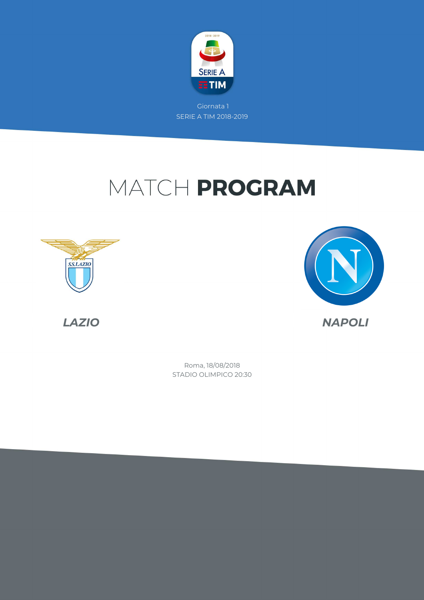

# MATCH PROGRAM





*LAZIO NAPOLI*

STADIO OLIMPICO 20:30 Roma, 18/08/2018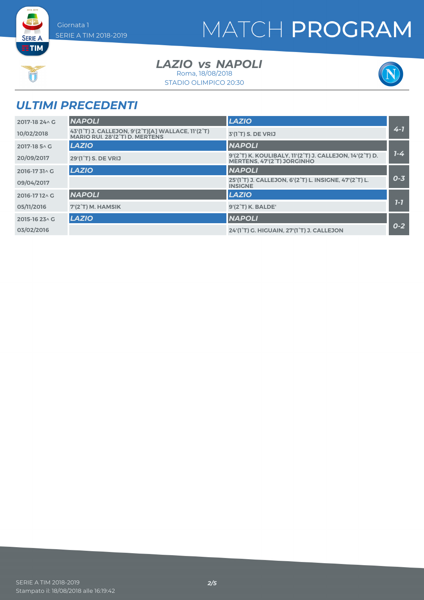# MATCH PROGRAM



**SERIE A ETIM** 

> LAZIO *vs* NAPOLI Roma, 18/08/2018

STADIO OLIMPICO 20:30



### *ULTIMI PRECEDENTI*

| 2017-18 24 \ G | <b>NAPOLI</b>                                                                        | <b>LAZIO</b>                                                                                       |         |
|----------------|--------------------------------------------------------------------------------------|----------------------------------------------------------------------------------------------------|---------|
| 10/02/2018     | 43'(1°T) J. CALLEJON, 9'(2°T)[A] WALLACE, 11'(2°T)<br>MARIO RUI. 28'(2°T) D. MERTENS | 3'(1 <sup>°</sup> T) S. DE VRIJ                                                                    | $4 - 7$ |
| 2017-18 5 \ G  | <b>LAZIO</b>                                                                         | <b>NAPOLI</b>                                                                                      |         |
| 20/09/2017     | 29'(1 <sup>°</sup> T) S. DE VRIJ                                                     | 9'(2°T) K. KOULIBALY, 11'(2°T) J. CALLEJON, 14'(2°T) D.<br>MERTENS, 47'(2 <sup>°</sup> T) JORGINHO | $7 - 4$ |
| 2016-1731^C    | <b>LAZIO</b>                                                                         | <b>NAPOLI</b>                                                                                      |         |
| 09/04/2017     |                                                                                      | 25'(1°T) J. CALLEJON, 6'(2°T) L. INSIGNE, 47'(2°T) L.<br><b>INSIGNE</b>                            | $0 - 3$ |
| 2016-1712^C    | <b>NAPOLI</b>                                                                        | <b>LAZIO</b>                                                                                       |         |
| 05/11/2016     | 7'(2°T) M. HAMSIK                                                                    | 9'(2°T) K. BALDE'                                                                                  | $7 - 7$ |
| 2015-16 23 \ G | <b>LAZIO</b>                                                                         | <b>NAPOLI</b>                                                                                      |         |
| 03/02/2016     |                                                                                      | 24'(1°T) G. HIGUAIN, 27'(1°T) J. CALLEJON                                                          | $0 - 2$ |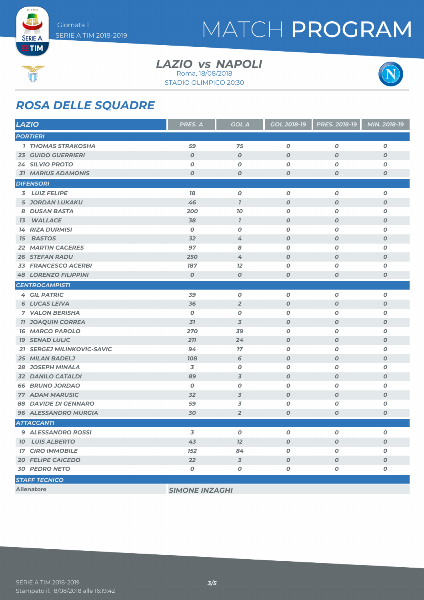

**SERIE A ETIM** 

 $rac{1}{\sqrt{1-\frac{1}{2}}\sqrt{1-\frac{1}{2}}\sqrt{1-\frac{1}{2}}\sqrt{1-\frac{1}{2}}\sqrt{1-\frac{1}{2}}\sqrt{1-\frac{1}{2}}\sqrt{1-\frac{1}{2}}\sqrt{1-\frac{1}{2}}\sqrt{1-\frac{1}{2}}\sqrt{1-\frac{1}{2}}\sqrt{1-\frac{1}{2}}\sqrt{1-\frac{1}{2}}\sqrt{1-\frac{1}{2}}\sqrt{1-\frac{1}{2}}\sqrt{1-\frac{1}{2}}\sqrt{1-\frac{1}{2}}\sqrt{1-\frac{1}{2}}\sqrt{1-\frac{1}{2}}\sqrt{1-\frac{1}{2}}\sqrt{1-\frac{$ 

## MATCH PROGRAM

#### LAZIO *vs* NAPOLI Roma, 18/08/2018

STADIO OLIMPICO 20:30



### *ROSA DELLE SQUADRE*

| <b>LAZIO</b>                               | PRES. A          | <b>GOL A</b>     | <b>GOL 2018-19</b> | PRES. 2018-19    | MIN. 2018-19     |
|--------------------------------------------|------------------|------------------|--------------------|------------------|------------------|
| <b>PORTIERI</b>                            |                  |                  |                    |                  |                  |
| <b>1 THOMAS STRAKOSHA</b>                  | 59               | 75               | $\boldsymbol{O}$   | $\boldsymbol{O}$ | 0                |
| <b>23 GUIDO GUERRIERI</b>                  | $\boldsymbol{O}$ | $\boldsymbol{O}$ | $\boldsymbol{O}$   | $\boldsymbol{O}$ | $\boldsymbol{O}$ |
| <b>24 SILVIO PROTO</b>                     | $\boldsymbol{O}$ | $\boldsymbol{0}$ | $\boldsymbol{o}$   | $\boldsymbol{O}$ | O                |
| <b>31 MARIUS ADAMONIS</b>                  | $\boldsymbol{O}$ | $\boldsymbol{O}$ | $\boldsymbol{O}$   | $\boldsymbol{O}$ | $\boldsymbol{o}$ |
| <b>DIFENSORI</b>                           |                  |                  |                    |                  |                  |
| 3 LUIZ FELIPE                              | 78               | 0                | $\boldsymbol{O}$   | $\boldsymbol{O}$ | $\boldsymbol{o}$ |
| <b>5 JORDAN LUKAKU</b>                     | 46               | $\overline{I}$   | $\boldsymbol{O}$   | $\boldsymbol{O}$ | $\boldsymbol{O}$ |
| 8 DUSAN BASTA                              | 200              | <b>70</b>        | $\boldsymbol{o}$   | $\boldsymbol{O}$ | 0                |
| <b>13 WALLACE</b>                          | 38               | $\mathbf{7}$     | $\boldsymbol{O}$   | $\boldsymbol{0}$ | $\boldsymbol{o}$ |
| <b>14 RIZA DURMISI</b>                     | $\boldsymbol{O}$ | $\boldsymbol{0}$ | $\boldsymbol{o}$   | $\boldsymbol{O}$ | 0                |
| <b>BASTOS</b><br>15                        | 32               | 4                | $\boldsymbol{O}$   | $\boldsymbol{o}$ | $\boldsymbol{O}$ |
| <b>MARTIN CACERES</b><br>22                | 97               | 8                | $\boldsymbol{o}$   | $\boldsymbol{O}$ | 0                |
| <b>26 STEFAN RADU</b>                      | 250              | 4                | $\boldsymbol{O}$   | $\boldsymbol{O}$ | O                |
| <b>33 FRANCESCO ACERBI</b>                 | 187              | 12               | $\boldsymbol{o}$   | $\boldsymbol{O}$ | 0                |
| <b>48 LORENZO FILIPPINI</b>                | $\boldsymbol{0}$ | $\boldsymbol{O}$ | $\boldsymbol{O}$   | $\boldsymbol{0}$ | $\boldsymbol{o}$ |
| <b>CENTROCAMPISTI</b>                      |                  |                  |                    |                  |                  |
| <b>4 GIL PATRIC</b>                        | 39               | O                | $\boldsymbol{0}$   | $\pmb{o}$        | $\boldsymbol{o}$ |
| <b>6 LUCAS LEIVA</b>                       | 36               | $\overline{2}$   | $\boldsymbol{O}$   | $\boldsymbol{0}$ | O                |
| <b>7 VALON BERISHA</b>                     | $\boldsymbol{0}$ | O                | $\boldsymbol{o}$   | $\boldsymbol{O}$ | 0                |
| <b>11 JOAQUIN CORREA</b>                   | 31               | 3                | $\boldsymbol{O}$   | $\boldsymbol{0}$ | $\boldsymbol{O}$ |
| <b>16 MARCO PAROLO</b>                     | 270              | 39               | $\boldsymbol{o}$   | $\boldsymbol{O}$ | 0                |
| <b>19 SENAD LULIC</b>                      | 211              | 24               | $\boldsymbol{O}$   | $\boldsymbol{0}$ | 0                |
| <b>SERGEJ MILINKOVIC-SAVIC</b><br>21       | 94               | 17               | $\boldsymbol{o}$   | $\boldsymbol{O}$ | 0                |
| 25 MILAN BADELJ                            | <b>108</b>       | 6                | $\boldsymbol{O}$   | $\boldsymbol{O}$ | $\boldsymbol{o}$ |
| 28 JOSEPH MINALA                           | 3                | 0                | $\boldsymbol{o}$   | $\boldsymbol{O}$ | 0                |
| <b>32 DANILO CATALDI</b>                   | 89               | 3                | $\boldsymbol{O}$   | $\boldsymbol{O}$ | 0                |
| <b>66 BRUNO JORDAO</b>                     | $\boldsymbol{O}$ | 0                | $\boldsymbol{o}$   | $\boldsymbol{O}$ | 0                |
| <b>77 ADAM MARUSIC</b>                     | 32               | 3                | $\boldsymbol{O}$   | $\boldsymbol{O}$ | $\boldsymbol{O}$ |
| <b>DAVIDE DI GENNARO</b><br>88             | 59               | 3                | $\boldsymbol{o}$   | $\boldsymbol{o}$ | O                |
| <b>96 ALESSANDRO MURGIA</b>                | 30               | $\overline{2}$   | $\boldsymbol{O}$   | $\boldsymbol{O}$ | 0                |
| <b>ATTACCANTI</b>                          |                  |                  |                    |                  |                  |
| <b>9 ALESSANDRO ROSSI</b>                  | 3                | 0                | $\boldsymbol{o}$   | $\boldsymbol{O}$ | 0                |
| <b>10 LUIS ALBERTO</b>                     | 43               | 12               | $\pmb{o}$          | $\boldsymbol{o}$ | $\boldsymbol{o}$ |
| <b>17 CIRO IMMOBILE</b>                    | 152              | 84               | O                  | $\boldsymbol{O}$ | O                |
| <b>20 FELIPE CAICEDO</b>                   | 22               | $\overline{3}$   | $\boldsymbol{o}$   | $\boldsymbol{O}$ | $\boldsymbol{o}$ |
| <b>30 PEDRO NETO</b>                       | $\pmb{o}$        | 0                | 0                  | $\pmb{o}$        | O                |
| <b>STAFF TECNICO</b>                       |                  |                  |                    |                  |                  |
| <b>Allenatore</b><br><b>SIMONE INZAGHI</b> |                  |                  |                    |                  |                  |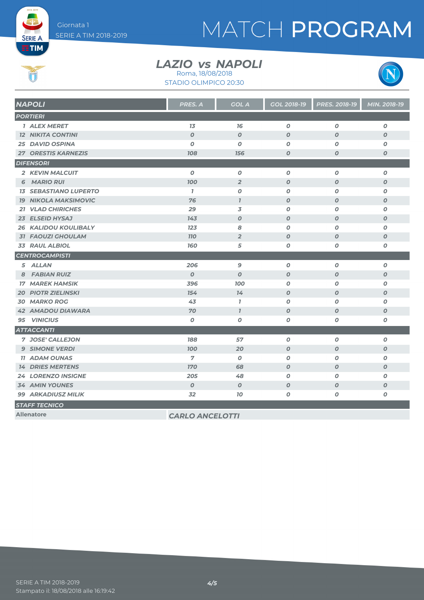**SERIE A ETIM** 

Ú

# MATCH PROGRAM

#### LAZIO *vs* NAPOLI Roma, 18/08/2018

STADIO OLIMPICO 20:30



| <b>NAPOLI</b>                | <b>PRES. A</b>         | <b>GOL A</b>     | GOL 2018-19      | PRES. 2018-19    | MIN. 2018-19     |
|------------------------------|------------------------|------------------|------------------|------------------|------------------|
| <b>PORTIERI</b>              |                        |                  |                  |                  |                  |
| <b>1 ALEX MERET</b>          | 1 <sub>3</sub>         | 76               | $\boldsymbol{O}$ | $\boldsymbol{O}$ | $\boldsymbol{0}$ |
| <b>12 NIKITA CONTINI</b>     | $\boldsymbol{O}$       | $\boldsymbol{O}$ | $\boldsymbol{O}$ | $\boldsymbol{O}$ | $\boldsymbol{O}$ |
| <b>25 DAVID OSPINA</b>       | $\boldsymbol{O}$       | $\boldsymbol{O}$ | $\boldsymbol{O}$ | $\boldsymbol{O}$ | 0                |
| <b>27 ORESTIS KARNEZIS</b>   | <b>108</b>             | 156              | $\boldsymbol{O}$ | $\boldsymbol{O}$ | $\boldsymbol{O}$ |
| <b>DIFENSORI</b>             |                        |                  |                  |                  |                  |
| 2 KEVIN MALCUIT              | $\boldsymbol{0}$       | $\boldsymbol{O}$ | 0                | O                | $\boldsymbol{0}$ |
| <b>6 MARIO RUI</b>           | <b>100</b>             | $\overline{2}$   | $\boldsymbol{O}$ | $\boldsymbol{O}$ | $\boldsymbol{O}$ |
| <b>13 SEBASTIANO LUPERTO</b> | $\mathbf{7}$           | $\boldsymbol{O}$ | 0                | $\boldsymbol{O}$ | $\boldsymbol{0}$ |
| <b>19 NIKOLA MAKSIMOVIC</b>  | 76                     | $\mathbf{7}$     | $\boldsymbol{O}$ | $\boldsymbol{O}$ | $\boldsymbol{0}$ |
| <b>21 VLAD CHIRICHES</b>     | 29                     | 3                | 0                | O                | $\boldsymbol{0}$ |
| 23 ELSEID HYSAJ              | 143                    | $\boldsymbol{O}$ | $\boldsymbol{O}$ | $\boldsymbol{O}$ | $\boldsymbol{O}$ |
| <b>26 KALIDOU KOULIBALY</b>  | 123                    | 8                | 0                | O                | O                |
| <b>31 FAOUZI GHOULAM</b>     | <b>110</b>             | $\overline{2}$   | $\boldsymbol{O}$ | $\boldsymbol{O}$ | $\boldsymbol{0}$ |
| <b>33 RAUL ALBIOL</b>        | <b>160</b>             | 5                | O                | O                | O                |
| <b>CENTROCAMPISTI</b>        |                        |                  |                  |                  |                  |
| 5 ALLAN                      | 206                    | 9                | 0                | O                | $\boldsymbol{0}$ |
| <b>FABIAN RUIZ</b><br>8      | $\boldsymbol{0}$       | $\boldsymbol{O}$ | $\boldsymbol{O}$ | $\boldsymbol{O}$ | $\boldsymbol{O}$ |
| <b>17 MAREK HAMSIK</b>       | 396                    | <b>100</b>       | O                | $\boldsymbol{O}$ | 0                |
| <b>20 PIOTR ZIELINSKI</b>    | 154                    | 14               | $\boldsymbol{O}$ | $\boldsymbol{O}$ | $\boldsymbol{O}$ |
| <b>30 MARKO ROG</b>          | 43                     | $\mathbf{7}$     | $\boldsymbol{O}$ | $\boldsymbol{O}$ | 0                |
| <b>42 AMADOU DIAWARA</b>     | 70                     | $\mathbf{I}$     | $\boldsymbol{0}$ | $\boldsymbol{O}$ | $\boldsymbol{0}$ |
| 95 VINICIUS                  | $\boldsymbol{0}$       | $\boldsymbol{o}$ | 0                | O                | 0                |
| <b>ATTACCANTI</b>            |                        |                  |                  |                  |                  |
| 7 JOSE' CALLEJON             | 188                    | 57               | $\boldsymbol{O}$ | O                | $\boldsymbol{0}$ |
| <b>9 SIMONE VERDI</b>        | <b>100</b>             | 20               | $\boldsymbol{O}$ | $\boldsymbol{O}$ | $\boldsymbol{0}$ |
| <b>11 ADAM OUNAS</b>         | $\overline{7}$         | 0                | O                | O                | 0                |
| <b>14 DRIES MERTENS</b>      | <b>170</b>             | 68               | $\boldsymbol{O}$ | $\boldsymbol{O}$ | $\boldsymbol{0}$ |
| <b>24 LORENZO INSIGNE</b>    | 205                    | 48               | 0                | O                | 0                |
| <b>34 AMIN YOUNES</b>        | $\boldsymbol{O}$       | $\boldsymbol{0}$ | $\boldsymbol{O}$ | $\boldsymbol{O}$ | $\boldsymbol{0}$ |
| <b>99 ARKADIUSZ MILIK</b>    | 32                     | 10               | O                | O                | O                |
| <b>STAFF TECNICO</b>         |                        |                  |                  |                  |                  |
| <b>Allenatore</b>            | <b>CARLO ANCELOTTI</b> |                  |                  |                  |                  |